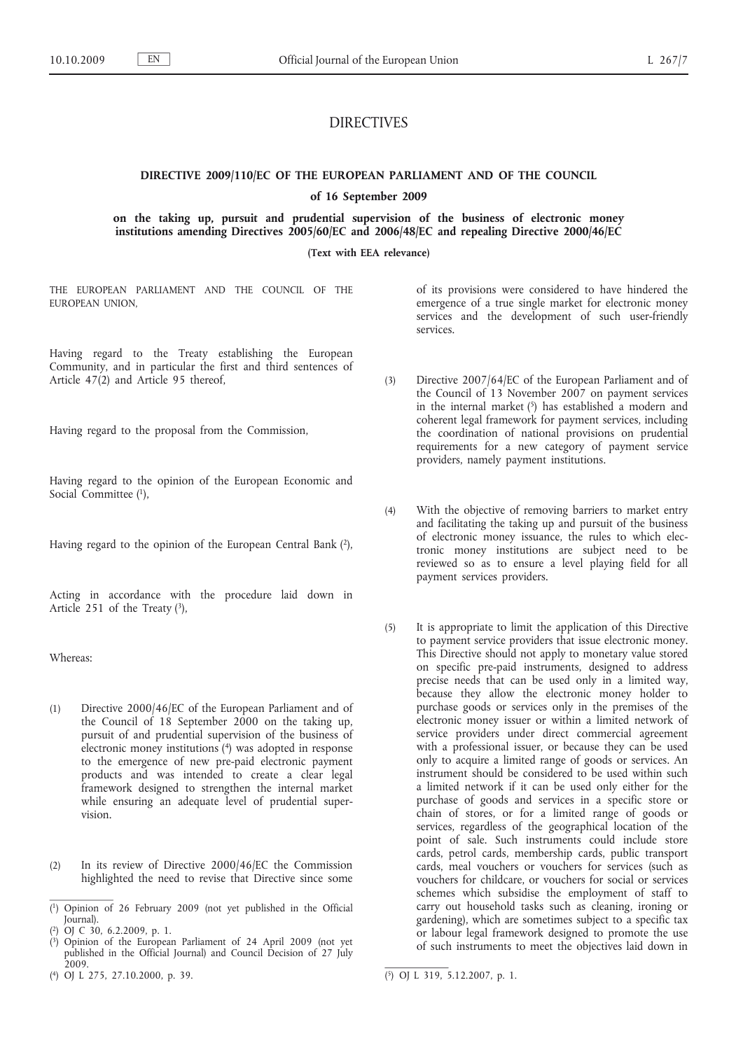# DIRECTIVES

# **DIRECTIVE 2009/110/EC OF THE EUROPEAN PARLIAMENT AND OF THE COUNCIL**

# **of 16 September 2009**

**on the taking up, pursuit and prudential supervision of the business of electronic money institutions amending Directives 2005/60/EC and 2006/48/EC and repealing Directive 2000/46/EC**

**(Text with EEA relevance)**

THE EUROPEAN PARLIAMENT AND THE COUNCIL OF THE EUROPEAN UNION,

Having regard to the Treaty establishing the European Community, and in particular the first and third sentences of Article 47(2) and Article 95 thereof,

Having regard to the proposal from the Commission,

Having regard to the opinion of the European Economic and Social Committee (1),

Having regard to the opinion of the European Central Bank  $(2)$ ,

Acting in accordance with the procedure laid down in Article 251 of the Treaty  $(3)$ ,

Whereas:

- (1) Directive 2000/46/EC of the European Parliament and of the Council of 18 September 2000 on the taking up, pursuit of and prudential supervision of the business of electronic money institutions (4) was adopted in response to the emergence of new pre-paid electronic payment products and was intended to create a clear legal framework designed to strengthen the internal market while ensuring an adequate level of prudential supervision.
- (2) In its review of Directive 2000/46/EC the Commission highlighted the need to revise that Directive since some

( 4) OJ L 275, 27.10.2000, p. 39. (5) OJ L 319, 5.12.2007, p. 1.

of its provisions were considered to have hindered the emergence of a true single market for electronic money services and the development of such user-friendly services.

- (3) Directive 2007/64/EC of the European Parliament and of the Council of 13 November 2007 on payment services in the internal market  $(5)$  has established a modern and coherent legal framework for payment services, including the coordination of national provisions on prudential requirements for a new category of payment service providers, namely payment institutions.
- (4) With the objective of removing barriers to market entry and facilitating the taking up and pursuit of the business of electronic money issuance, the rules to which electronic money institutions are subject need to be reviewed so as to ensure a level playing field for all payment services providers.
- (5) It is appropriate to limit the application of this Directive to payment service providers that issue electronic money. This Directive should not apply to monetary value stored on specific pre-paid instruments, designed to address precise needs that can be used only in a limited way, because they allow the electronic money holder to purchase goods or services only in the premises of the electronic money issuer or within a limited network of service providers under direct commercial agreement with a professional issuer, or because they can be used only to acquire a limited range of goods or services. An instrument should be considered to be used within such a limited network if it can be used only either for the purchase of goods and services in a specific store or chain of stores, or for a limited range of goods or services, regardless of the geographical location of the point of sale. Such instruments could include store cards, petrol cards, membership cards, public transport cards, meal vouchers or vouchers for services (such as vouchers for childcare, or vouchers for social or services schemes which subsidise the employment of staff to carry out household tasks such as cleaning, ironing or gardening), which are sometimes subject to a specific tax or labour legal framework designed to promote the use of such instruments to meet the objectives laid down in

<sup>(</sup> 1) Opinion of 26 February 2009 (not yet published in the Official Journal).

<sup>(</sup> 2) OJ C 30, 6.2.2009, p. 1.

<sup>(</sup> 3) Opinion of the European Parliament of 24 April 2009 (not yet published in the Official Journal) and Council Decision of 27 July 2009.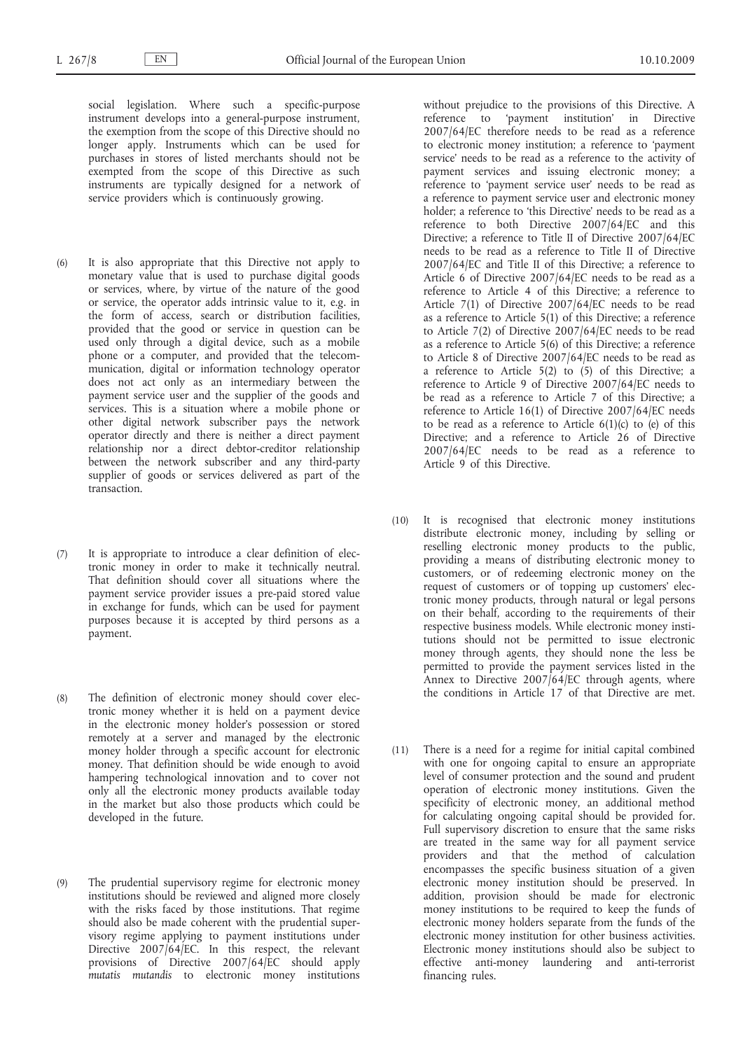social legislation. Where such a specific-purpose instrument develops into a general-purpose instrument, the exemption from the scope of this Directive should no longer apply. Instruments which can be used for purchases in stores of listed merchants should not be exempted from the scope of this Directive as such instruments are typically designed for a network of service providers which is continuously growing.

- (6) It is also appropriate that this Directive not apply to monetary value that is used to purchase digital goods or services, where, by virtue of the nature of the good or service, the operator adds intrinsic value to it, e.g. in the form of access, search or distribution facilities, provided that the good or service in question can be used only through a digital device, such as a mobile phone or a computer, and provided that the telecommunication, digital or information technology operator does not act only as an intermediary between the payment service user and the supplier of the goods and services. This is a situation where a mobile phone or other digital network subscriber pays the network operator directly and there is neither a direct payment relationship nor a direct debtor-creditor relationship between the network subscriber and any third-party supplier of goods or services delivered as part of the transaction.
- (7) It is appropriate to introduce a clear definition of electronic money in order to make it technically neutral. That definition should cover all situations where the payment service provider issues a pre-paid stored value in exchange for funds, which can be used for payment purposes because it is accepted by third persons as a payment.
- (8) The definition of electronic money should cover electronic money whether it is held on a payment device in the electronic money holder's possession or stored remotely at a server and managed by the electronic money holder through a specific account for electronic money. That definition should be wide enough to avoid hampering technological innovation and to cover not only all the electronic money products available today in the market but also those products which could be developed in the future.
- (9) The prudential supervisory regime for electronic money institutions should be reviewed and aligned more closely with the risks faced by those institutions. That regime should also be made coherent with the prudential supervisory regime applying to payment institutions under Directive 2007/64/EC. In this respect, the relevant provisions of Directive 2007/64/EC should apply *mutatis mutandis* to electronic money institutions

without prejudice to the provisions of this Directive. A reference to 'payment institution' in Directive 2007/64/EC therefore needs to be read as a reference to electronic money institution; a reference to 'payment service' needs to be read as a reference to the activity of payment services and issuing electronic money; a reference to 'payment service user' needs to be read as a reference to payment service user and electronic money holder; a reference to 'this Directive' needs to be read as a reference to both Directive 2007/64/EC and this Directive; a reference to Title II of Directive 2007/64/EC needs to be read as a reference to Title II of Directive 2007/64/EC and Title II of this Directive; a reference to Article 6 of Directive 2007/64/EC needs to be read as a reference to Article 4 of this Directive; a reference to Article 7(1) of Directive 2007/64/EC needs to be read as a reference to Article 5(1) of this Directive; a reference to Article 7(2) of Directive 2007/64/EC needs to be read as a reference to Article 5(6) of this Directive; a reference to Article 8 of Directive 2007/64/EC needs to be read as a reference to Article 5(2) to (5) of this Directive; a reference to Article 9 of Directive 2007/64/EC needs to be read as a reference to Article 7 of this Directive; a reference to Article 16(1) of Directive 2007/64/EC needs to be read as a reference to Article  $6(1)(c)$  to  $(e)$  of this Directive; and a reference to Article 26 of Directive 2007/64/EC needs to be read as a reference to Article 9 of this Directive.

- (10) It is recognised that electronic money institutions distribute electronic money, including by selling or reselling electronic money products to the public, providing a means of distributing electronic money to customers, or of redeeming electronic money on the request of customers or of topping up customers' electronic money products, through natural or legal persons on their behalf, according to the requirements of their respective business models. While electronic money institutions should not be permitted to issue electronic money through agents, they should none the less be permitted to provide the payment services listed in the Annex to Directive  $2007/64/EC$  through agents, where the conditions in Article 17 of that Directive are met.
- (11) There is a need for a regime for initial capital combined with one for ongoing capital to ensure an appropriate level of consumer protection and the sound and prudent operation of electronic money institutions. Given the specificity of electronic money, an additional method for calculating ongoing capital should be provided for. Full supervisory discretion to ensure that the same risks are treated in the same way for all payment service providers and that the method of calculation encompasses the specific business situation of a given electronic money institution should be preserved. In addition, provision should be made for electronic money institutions to be required to keep the funds of electronic money holders separate from the funds of the electronic money institution for other business activities. Electronic money institutions should also be subject to effective anti-money laundering and anti-terrorist financing rules.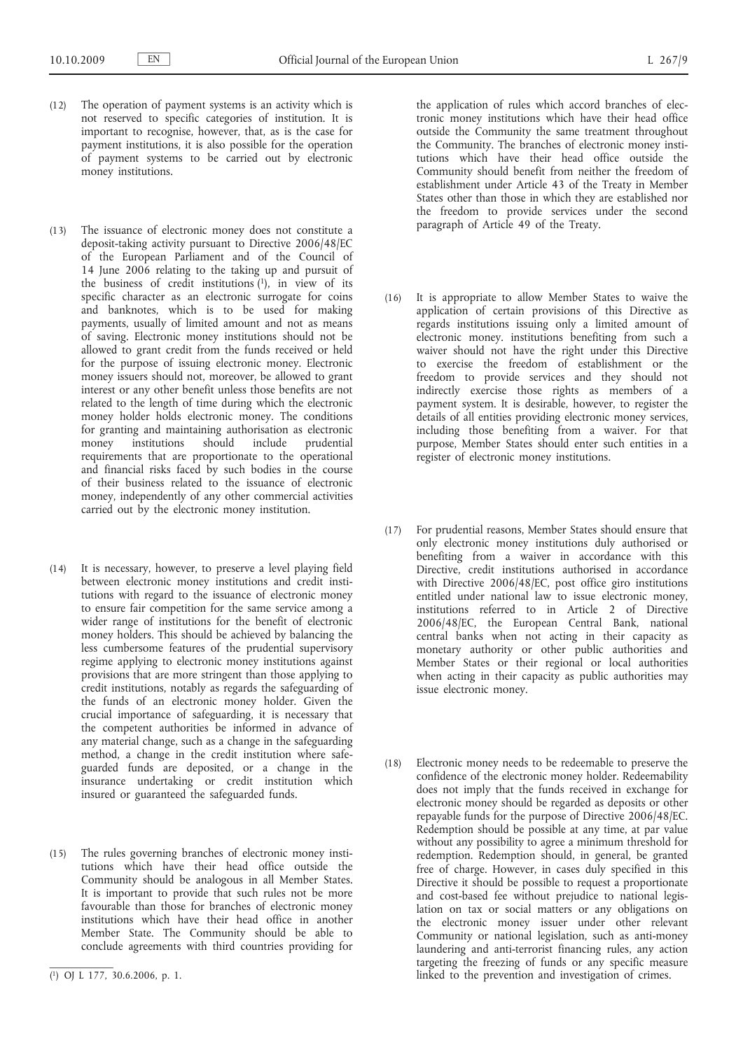- (12) The operation of payment systems is an activity which is not reserved to specific categories of institution. It is important to recognise, however, that, as is the case for payment institutions, it is also possible for the operation of payment systems to be carried out by electronic money institutions.
- (13) The issuance of electronic money does not constitute a deposit-taking activity pursuant to Directive 2006/48/EC of the European Parliament and of the Council of 14 June 2006 relating to the taking up and pursuit of the business of credit institutions  $(1)$ , in view of its specific character as an electronic surrogate for coins and banknotes, which is to be used for making payments, usually of limited amount and not as means of saving. Electronic money institutions should not be allowed to grant credit from the funds received or held for the purpose of issuing electronic money. Electronic money issuers should not, moreover, be allowed to grant interest or any other benefit unless those benefits are not related to the length of time during which the electronic money holder holds electronic money. The conditions for granting and maintaining authorisation as electronic money institutions should include prudential requirements that are proportionate to the operational and financial risks faced by such bodies in the course of their business related to the issuance of electronic money, independently of any other commercial activities carried out by the electronic money institution.
- (14) It is necessary, however, to preserve a level playing field between electronic money institutions and credit institutions with regard to the issuance of electronic money to ensure fair competition for the same service among a wider range of institutions for the benefit of electronic money holders. This should be achieved by balancing the less cumbersome features of the prudential supervisory regime applying to electronic money institutions against provisions that are more stringent than those applying to credit institutions, notably as regards the safeguarding of the funds of an electronic money holder. Given the crucial importance of safeguarding, it is necessary that the competent authorities be informed in advance of any material change, such as a change in the safeguarding method, a change in the credit institution where safeguarded funds are deposited, or a change in the insurance undertaking or credit institution which insured or guaranteed the safeguarded funds.
- (15) The rules governing branches of electronic money institutions which have their head office outside the Community should be analogous in all Member States. It is important to provide that such rules not be more favourable than those for branches of electronic money institutions which have their head office in another Member State. The Community should be able to conclude agreements with third countries providing for

the application of rules which accord branches of electronic money institutions which have their head office outside the Community the same treatment throughout the Community. The branches of electronic money institutions which have their head office outside the Community should benefit from neither the freedom of establishment under Article 43 of the Treaty in Member States other than those in which they are established nor the freedom to provide services under the second paragraph of Article 49 of the Treaty.

- (16) It is appropriate to allow Member States to waive the application of certain provisions of this Directive as regards institutions issuing only a limited amount of electronic money. institutions benefiting from such a waiver should not have the right under this Directive to exercise the freedom of establishment or the freedom to provide services and they should not indirectly exercise those rights as members of a payment system. It is desirable, however, to register the details of all entities providing electronic money services, including those benefiting from a waiver. For that purpose, Member States should enter such entities in a register of electronic money institutions.
- (17) For prudential reasons, Member States should ensure that only electronic money institutions duly authorised or benefiting from a waiver in accordance with this Directive, credit institutions authorised in accordance with Directive 2006/48/EC, post office giro institutions entitled under national law to issue electronic money, institutions referred to in Article 2 of Directive 2006/48/EC, the European Central Bank, national central banks when not acting in their capacity as monetary authority or other public authorities and Member States or their regional or local authorities when acting in their capacity as public authorities may issue electronic money.
- (18) Electronic money needs to be redeemable to preserve the confidence of the electronic money holder. Redeemability does not imply that the funds received in exchange for electronic money should be regarded as deposits or other repayable funds for the purpose of Directive 2006/48/EC. Redemption should be possible at any time, at par value without any possibility to agree a minimum threshold for redemption. Redemption should, in general, be granted free of charge. However, in cases duly specified in this Directive it should be possible to request a proportionate and cost-based fee without prejudice to national legislation on tax or social matters or any obligations on the electronic money issuer under other relevant Community or national legislation, such as anti-money laundering and anti-terrorist financing rules, any action targeting the freezing of funds or any specific measure linked to the prevention and investigation of crimes.

<sup>(</sup> 1) OJ L 177, 30.6.2006, p. 1.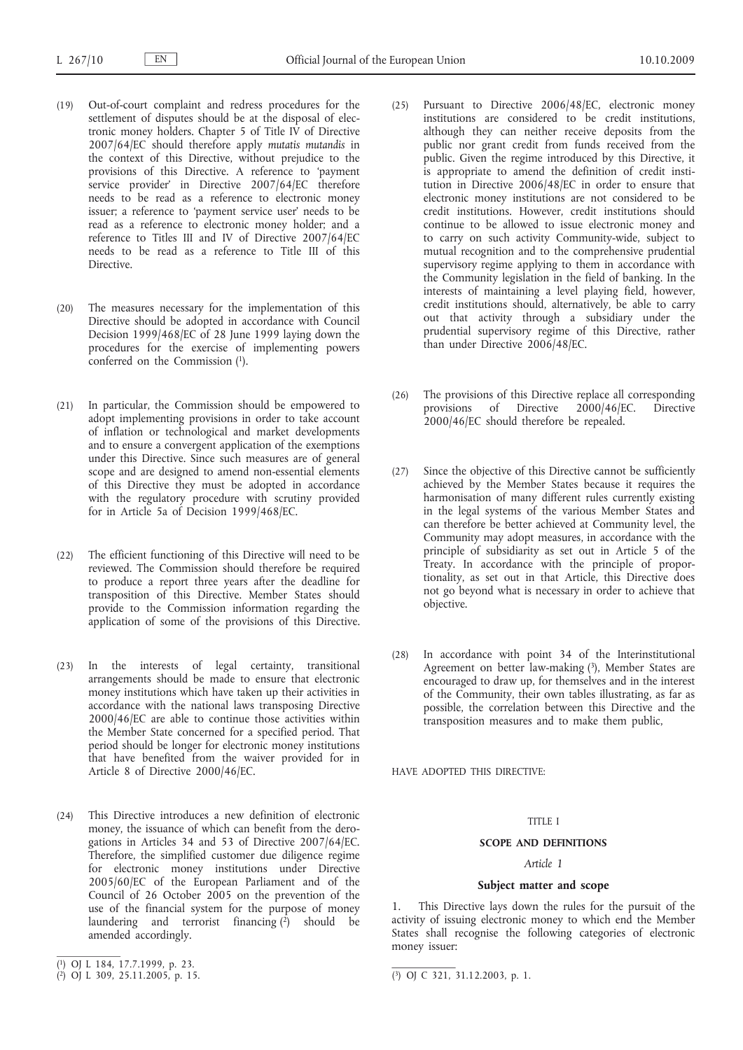- (19) Out-of-court complaint and redress procedures for the settlement of disputes should be at the disposal of electronic money holders. Chapter 5 of Title IV of Directive 2007/64/EC should therefore apply *mutatis mutandis* in the context of this Directive, without prejudice to the provisions of this Directive. A reference to 'payment service provider' in Directive 2007/64/EC therefore needs to be read as a reference to electronic money issuer; a reference to 'payment service user' needs to be read as a reference to electronic money holder; and a reference to Titles III and IV of Directive 2007/64/EC needs to be read as a reference to Title III of this Directive.
- (20) The measures necessary for the implementation of this Directive should be adopted in accordance with Council Decision 1999/468/EC of 28 June 1999 laying down the procedures for the exercise of implementing powers conferred on the Commission (1).
- (21) In particular, the Commission should be empowered to adopt implementing provisions in order to take account of inflation or technological and market developments and to ensure a convergent application of the exemptions under this Directive. Since such measures are of general scope and are designed to amend non-essential elements of this Directive they must be adopted in accordance with the regulatory procedure with scrutiny provided for in Article 5a of Decision 1999/468/EC.
- (22) The efficient functioning of this Directive will need to be reviewed. The Commission should therefore be required to produce a report three years after the deadline for transposition of this Directive. Member States should provide to the Commission information regarding the application of some of the provisions of this Directive.
- (23) In the interests of legal certainty, transitional arrangements should be made to ensure that electronic money institutions which have taken up their activities in accordance with the national laws transposing Directive 2000/46/EC are able to continue those activities within the Member State concerned for a specified period. That period should be longer for electronic money institutions that have benefited from the waiver provided for in Article 8 of Directive 2000/46/EC.
- (24) This Directive introduces a new definition of electronic money, the issuance of which can benefit from the derogations in Articles 34 and 53 of Directive 2007/64/EC. Therefore, the simplified customer due diligence regime for electronic money institutions under Directive 2005/60/EC of the European Parliament and of the Council of 26 October 2005 on the prevention of the use of the financial system for the purpose of money laundering and terrorist financing  $(\overrightarrow{2})$  should be amended accordingly.
- (25) Pursuant to Directive 2006/48/EC, electronic money institutions are considered to be credit institutions, although they can neither receive deposits from the public nor grant credit from funds received from the public. Given the regime introduced by this Directive, it is appropriate to amend the definition of credit institution in Directive 2006/48/EC in order to ensure that electronic money institutions are not considered to be credit institutions. However, credit institutions should continue to be allowed to issue electronic money and to carry on such activity Community-wide, subject to mutual recognition and to the comprehensive prudential supervisory regime applying to them in accordance with the Community legislation in the field of banking. In the interests of maintaining a level playing field, however, credit institutions should, alternatively, be able to carry out that activity through a subsidiary under the prudential supervisory regime of this Directive, rather than under Directive 2006/48/EC.
- (26) The provisions of this Directive replace all corresponding provisions of Directive 2000/46/EC. Directive 2000/46/EC should therefore be repealed.
- (27) Since the objective of this Directive cannot be sufficiently achieved by the Member States because it requires the harmonisation of many different rules currently existing in the legal systems of the various Member States and can therefore be better achieved at Community level, the Community may adopt measures, in accordance with the principle of subsidiarity as set out in Article 5 of the Treaty. In accordance with the principle of proportionality, as set out in that Article, this Directive does not go beyond what is necessary in order to achieve that objective.
- (28) In accordance with point 34 of the Interinstitutional Agreement on better law-making  $(3)$ , Member States are encouraged to draw up, for themselves and in the interest of the Community, their own tables illustrating, as far as possible, the correlation between this Directive and the transposition measures and to make them public,

HAVE ADOPTED THIS DIRECTIVE:

# TITLE I

# **SCOPE AND DEFINITIONS**

# *Article 1*

# **Subject matter and scope**

1. This Directive lays down the rules for the pursuit of the activity of issuing electronic money to which end the Member States shall recognise the following categories of electronic money issuer:

<sup>(</sup> 1) OJ L 184, 17.7.1999, p. 23.

<sup>(</sup> 2) OJ L 309, 25.11.2005, p. 15. (3) OJ C 321, 31.12.2003, p. 1.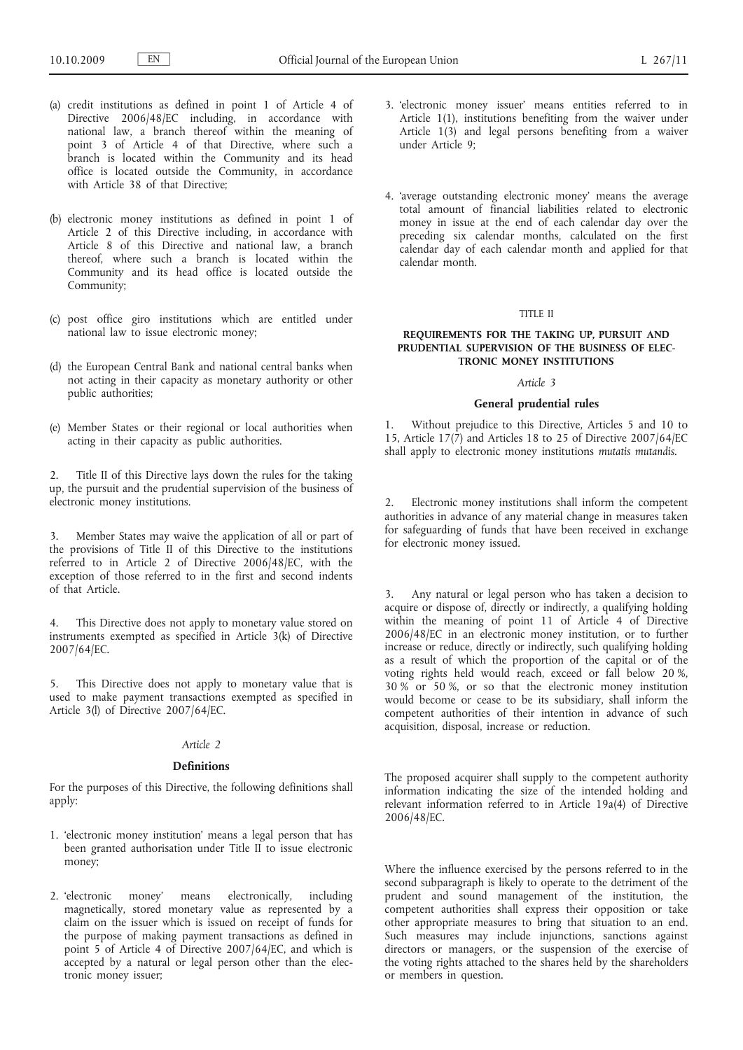- (a) credit institutions as defined in point 1 of Article 4 of Directive 2006/48/EC including, in accordance with national law, a branch thereof within the meaning of point 3 of Article 4 of that Directive, where such a branch is located within the Community and its head office is located outside the Community, in accordance with Article 38 of that Directive;
- (b) electronic money institutions as defined in point 1 of Article 2 of this Directive including, in accordance with Article 8 of this Directive and national law, a branch thereof, where such a branch is located within the Community and its head office is located outside the Community;
- (c) post office giro institutions which are entitled under national law to issue electronic money;
- (d) the European Central Bank and national central banks when not acting in their capacity as monetary authority or other public authorities;
- (e) Member States or their regional or local authorities when acting in their capacity as public authorities.

2. Title II of this Directive lays down the rules for the taking up, the pursuit and the prudential supervision of the business of electronic money institutions.

3. Member States may waive the application of all or part of the provisions of Title II of this Directive to the institutions referred to in Article 2 of Directive 2006/48/EC, with the exception of those referred to in the first and second indents of that Article.

4. This Directive does not apply to monetary value stored on instruments exempted as specified in Article 3(k) of Directive 2007/64/EC.

5. This Directive does not apply to monetary value that is used to make payment transactions exempted as specified in Article 3(l) of Directive 2007/64/EC.

#### *Article 2*

#### **Definitions**

For the purposes of this Directive, the following definitions shall apply:

- 1. 'electronic money institution' means a legal person that has been granted authorisation under Title II to issue electronic money;
- 2. 'electronic money' means electronically, including magnetically, stored monetary value as represented by a claim on the issuer which is issued on receipt of funds for the purpose of making payment transactions as defined in point 5 of Article 4 of Directive 2007/64/EC, and which is accepted by a natural or legal person other than the electronic money issuer;
- 3. 'electronic money issuer' means entities referred to in Article 1(1), institutions benefiting from the waiver under Article 1(3) and legal persons benefiting from a waiver under Article 9;
- 4. 'average outstanding electronic money' means the average total amount of financial liabilities related to electronic money in issue at the end of each calendar day over the preceding six calendar months, calculated on the first calendar day of each calendar month and applied for that calendar month.

#### TITLE II

### **REQUIREMENTS FOR THE TAKING UP, PURSUIT AND PRUDENTIAL SUPERVISION OF THE BUSINESS OF ELEC-TRONIC MONEY INSTITUTIONS**

# *Article 3*

# **General prudential rules**

1. Without prejudice to this Directive, Articles 5 and 10 to 15, Article 17(7) and Articles 18 to 25 of Directive 2007/64/EC shall apply to electronic money institutions *mutatis mutandis*.

Electronic money institutions shall inform the competent authorities in advance of any material change in measures taken for safeguarding of funds that have been received in exchange for electronic money issued.

Any natural or legal person who has taken a decision to acquire or dispose of, directly or indirectly, a qualifying holding within the meaning of point 11 of Article 4 of Directive 2006/48/EC in an electronic money institution, or to further increase or reduce, directly or indirectly, such qualifying holding as a result of which the proportion of the capital or of the voting rights held would reach, exceed or fall below 20 %, 30 % or 50 %, or so that the electronic money institution would become or cease to be its subsidiary, shall inform the competent authorities of their intention in advance of such acquisition, disposal, increase or reduction.

The proposed acquirer shall supply to the competent authority information indicating the size of the intended holding and relevant information referred to in Article 19a(4) of Directive 2006/48/EC.

Where the influence exercised by the persons referred to in the second subparagraph is likely to operate to the detriment of the prudent and sound management of the institution, the competent authorities shall express their opposition or take other appropriate measures to bring that situation to an end. Such measures may include injunctions, sanctions against directors or managers, or the suspension of the exercise of the voting rights attached to the shares held by the shareholders or members in question.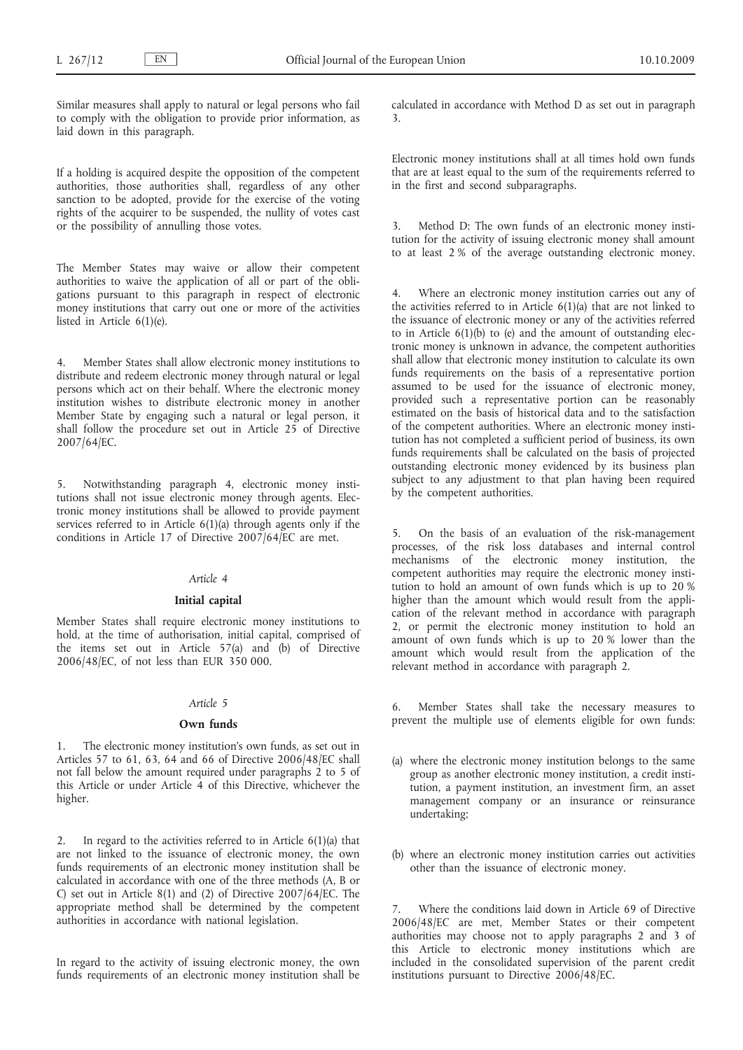Similar measures shall apply to natural or legal persons who fail to comply with the obligation to provide prior information, as laid down in this paragraph.

If a holding is acquired despite the opposition of the competent authorities, those authorities shall, regardless of any other sanction to be adopted, provide for the exercise of the voting rights of the acquirer to be suspended, the nullity of votes cast or the possibility of annulling those votes.

The Member States may waive or allow their competent authorities to waive the application of all or part of the obligations pursuant to this paragraph in respect of electronic money institutions that carry out one or more of the activities listed in Article 6(1)(e).

Member States shall allow electronic money institutions to distribute and redeem electronic money through natural or legal persons which act on their behalf. Where the electronic money institution wishes to distribute electronic money in another Member State by engaging such a natural or legal person, it shall follow the procedure set out in Article 25 of Directive 2007/64/EC.

5. Notwithstanding paragraph 4, electronic money institutions shall not issue electronic money through agents. Electronic money institutions shall be allowed to provide payment services referred to in Article 6(1)(a) through agents only if the conditions in Article 17 of Directive 2007/64/EC are met.

# *Article 4*

### **Initial capital**

Member States shall require electronic money institutions to hold, at the time of authorisation, initial capital, comprised of the items set out in Article 57(a) and (b) of Directive 2006/48/EC, of not less than EUR 350 000.

#### *Article 5*

#### **Own funds**

1. The electronic money institution's own funds, as set out in Articles 57 to 61, 63, 64 and 66 of Directive 2006/48/EC shall not fall below the amount required under paragraphs 2 to 5 of this Article or under Article 4 of this Directive, whichever the higher.

2. In regard to the activities referred to in Article 6(1)(a) that are not linked to the issuance of electronic money, the own funds requirements of an electronic money institution shall be calculated in accordance with one of the three methods (A, B or C) set out in Article 8(1) and (2) of Directive 2007/64/EC. The appropriate method shall be determined by the competent authorities in accordance with national legislation.

In regard to the activity of issuing electronic money, the own funds requirements of an electronic money institution shall be calculated in accordance with Method D as set out in paragraph 3.

Electronic money institutions shall at all times hold own funds that are at least equal to the sum of the requirements referred to in the first and second subparagraphs.

3. Method D: The own funds of an electronic money institution for the activity of issuing electronic money shall amount to at least 2 % of the average outstanding electronic money.

4. Where an electronic money institution carries out any of the activities referred to in Article  $6(1)(a)$  that are not linked to the issuance of electronic money or any of the activities referred to in Article  $6(1)(b)$  to (e) and the amount of outstanding electronic money is unknown in advance, the competent authorities shall allow that electronic money institution to calculate its own funds requirements on the basis of a representative portion assumed to be used for the issuance of electronic money, provided such a representative portion can be reasonably estimated on the basis of historical data and to the satisfaction of the competent authorities. Where an electronic money institution has not completed a sufficient period of business, its own funds requirements shall be calculated on the basis of projected outstanding electronic money evidenced by its business plan subject to any adjustment to that plan having been required by the competent authorities.

5. On the basis of an evaluation of the risk-management processes, of the risk loss databases and internal control mechanisms of the electronic money institution, the competent authorities may require the electronic money institution to hold an amount of own funds which is up to 20 % higher than the amount which would result from the application of the relevant method in accordance with paragraph 2, or permit the electronic money institution to hold an amount of own funds which is up to 20 % lower than the amount which would result from the application of the relevant method in accordance with paragraph 2.

6. Member States shall take the necessary measures to prevent the multiple use of elements eligible for own funds:

- (a) where the electronic money institution belongs to the same group as another electronic money institution, a credit institution, a payment institution, an investment firm, an asset management company or an insurance or reinsurance undertaking;
- (b) where an electronic money institution carries out activities other than the issuance of electronic money.

Where the conditions laid down in Article 69 of Directive 2006/48/EC are met, Member States or their competent authorities may choose not to apply paragraphs 2 and 3 of this Article to electronic money institutions which are included in the consolidated supervision of the parent credit institutions pursuant to Directive 2006/48/EC.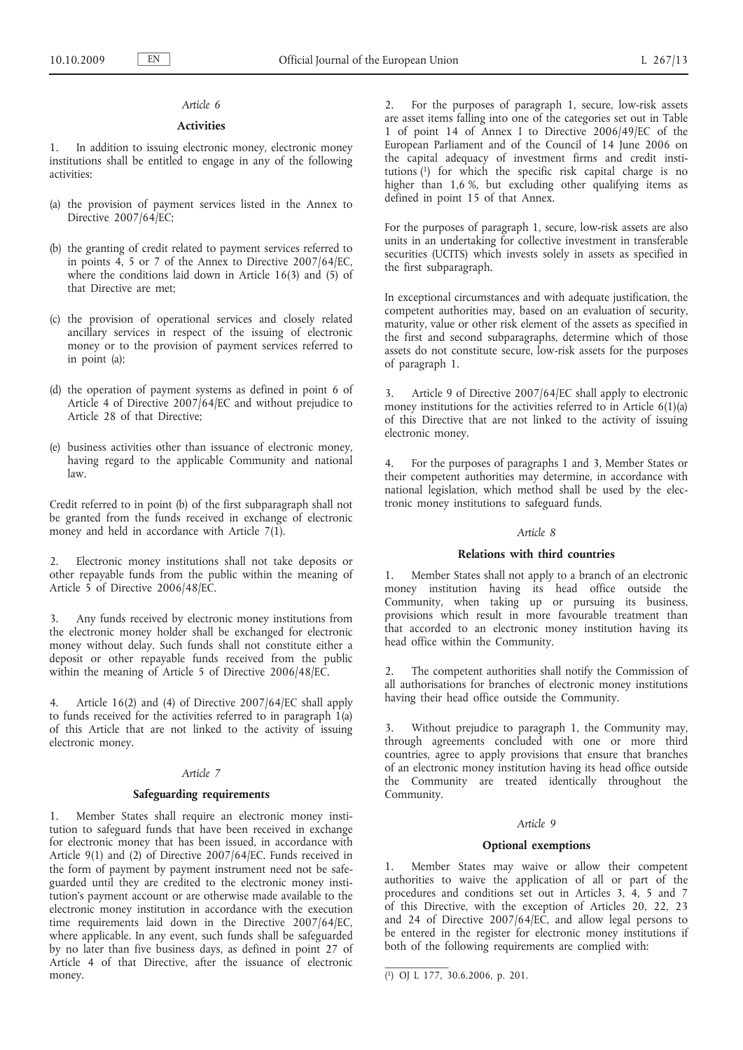# *Article 6*

### **Activities**

1. In addition to issuing electronic money, electronic money institutions shall be entitled to engage in any of the following activities:

- (a) the provision of payment services listed in the Annex to Directive 2007/64/EC;
- (b) the granting of credit related to payment services referred to in points 4, 5 or 7 of the Annex to Directive 2007/64/EC, where the conditions laid down in Article 16(3) and (5) of that Directive are met;
- (c) the provision of operational services and closely related ancillary services in respect of the issuing of electronic money or to the provision of payment services referred to in point (a);
- (d) the operation of payment systems as defined in point 6 of Article 4 of Directive 2007/64/EC and without prejudice to Article 28 of that Directive;
- (e) business activities other than issuance of electronic money, having regard to the applicable Community and national law.

Credit referred to in point (b) of the first subparagraph shall not be granted from the funds received in exchange of electronic money and held in accordance with Article 7(1).

2. Electronic money institutions shall not take deposits or other repayable funds from the public within the meaning of Article 5 of Directive 2006/48/EC.

Any funds received by electronic money institutions from the electronic money holder shall be exchanged for electronic money without delay. Such funds shall not constitute either a deposit or other repayable funds received from the public within the meaning of Article 5 of Directive 2006/48/EC.

4. Article 16(2) and (4) of Directive 2007/64/EC shall apply to funds received for the activities referred to in paragraph 1(a) of this Article that are not linked to the activity of issuing electronic money.

#### *Article 7*

#### **Safeguarding requirements**

1. Member States shall require an electronic money institution to safeguard funds that have been received in exchange for electronic money that has been issued, in accordance with Article 9(1) and (2) of Directive 2007/64/EC. Funds received in the form of payment by payment instrument need not be safeguarded until they are credited to the electronic money institution's payment account or are otherwise made available to the electronic money institution in accordance with the execution time requirements laid down in the Directive 2007/64/EC, where applicable. In any event, such funds shall be safeguarded by no later than five business days, as defined in point 27 of Article 4 of that Directive, after the issuance of electronic money.

2. For the purposes of paragraph 1, secure, low-risk assets are asset items falling into one of the categories set out in Table 1 of point 14 of Annex I to Directive 2006/49/EC of the European Parliament and of the Council of 14 June 2006 on the capital adequacy of investment firms and credit institutions  $(1)$  for which the specific risk capital charge is no higher than 1,6 %, but excluding other qualifying items as defined in point 15 of that Annex.

For the purposes of paragraph 1, secure, low-risk assets are also units in an undertaking for collective investment in transferable securities (UCITS) which invests solely in assets as specified in the first subparagraph.

In exceptional circumstances and with adequate justification, the competent authorities may, based on an evaluation of security, maturity, value or other risk element of the assets as specified in the first and second subparagraphs, determine which of those assets do not constitute secure, low-risk assets for the purposes of paragraph 1.

3. Article 9 of Directive 2007/64/EC shall apply to electronic money institutions for the activities referred to in Article 6(1)(a) of this Directive that are not linked to the activity of issuing electronic money.

4. For the purposes of paragraphs 1 and 3, Member States or their competent authorities may determine, in accordance with national legislation, which method shall be used by the electronic money institutions to safeguard funds.

# *Article 8*

## **Relations with third countries**

1. Member States shall not apply to a branch of an electronic money institution having its head office outside the Community, when taking up or pursuing its business, provisions which result in more favourable treatment than that accorded to an electronic money institution having its head office within the Community.

2. The competent authorities shall notify the Commission of all authorisations for branches of electronic money institutions having their head office outside the Community.

3. Without prejudice to paragraph 1, the Community may, through agreements concluded with one or more third countries, agree to apply provisions that ensure that branches of an electronic money institution having its head office outside the Community are treated identically throughout the Community.

# *Article 9*

#### **Optional exemptions**

Member States may waive or allow their competent authorities to waive the application of all or part of the procedures and conditions set out in Articles 3, 4, 5 and 7 of this Directive, with the exception of Articles 20, 22, 23 and 24 of Directive 2007/64/EC, and allow legal persons to be entered in the register for electronic money institutions if both of the following requirements are complied with:

<sup>(</sup> 1) OJ L 177, 30.6.2006, p. 201.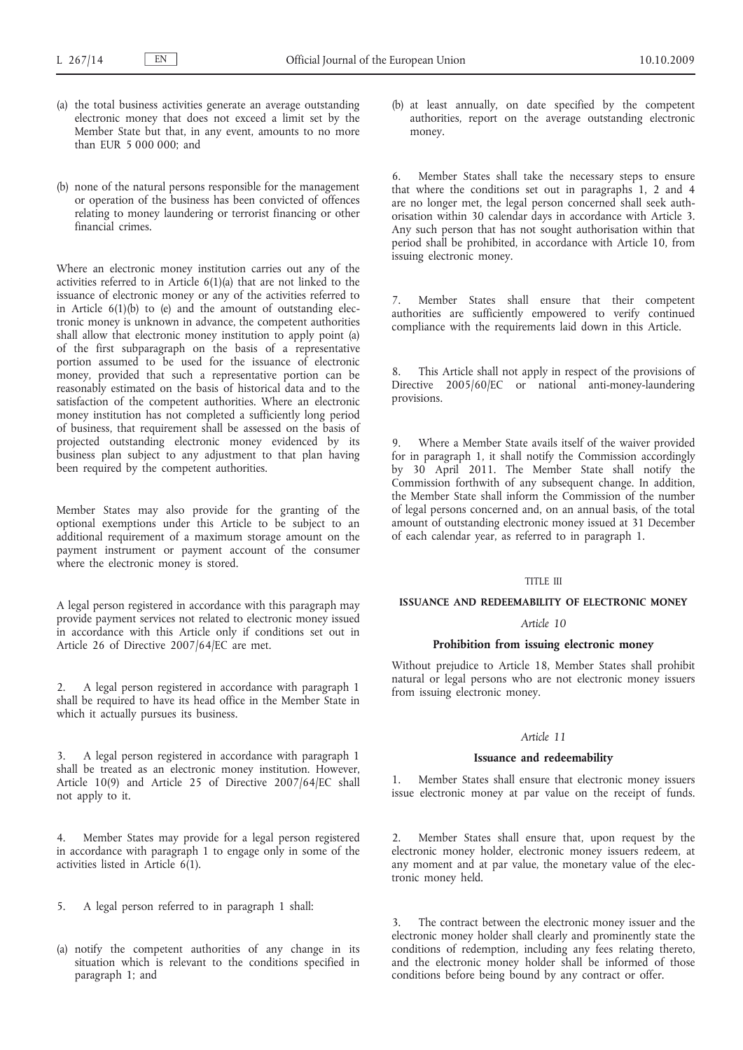- (a) the total business activities generate an average outstanding electronic money that does not exceed a limit set by the Member State but that, in any event, amounts to no more than EUR 5 000 000; and
- (b) none of the natural persons responsible for the management or operation of the business has been convicted of offences relating to money laundering or terrorist financing or other financial crimes.

Where an electronic money institution carries out any of the activities referred to in Article 6(1)(a) that are not linked to the issuance of electronic money or any of the activities referred to in Article  $6(1)(b)$  to (e) and the amount of outstanding electronic money is unknown in advance, the competent authorities shall allow that electronic money institution to apply point (a) of the first subparagraph on the basis of a representative portion assumed to be used for the issuance of electronic money, provided that such a representative portion can be reasonably estimated on the basis of historical data and to the satisfaction of the competent authorities. Where an electronic money institution has not completed a sufficiently long period of business, that requirement shall be assessed on the basis of projected outstanding electronic money evidenced by its business plan subject to any adjustment to that plan having been required by the competent authorities.

Member States may also provide for the granting of the optional exemptions under this Article to be subject to an additional requirement of a maximum storage amount on the payment instrument or payment account of the consumer where the electronic money is stored.

A legal person registered in accordance with this paragraph may provide payment services not related to electronic money issued in accordance with this Article only if conditions set out in Article 26 of Directive 2007/64/EC are met.

2. A legal person registered in accordance with paragraph 1 shall be required to have its head office in the Member State in which it actually pursues its business.

3. A legal person registered in accordance with paragraph 1 shall be treated as an electronic money institution. However, Article 10(9) and Article 25 of Directive 2007/64/EC shall not apply to it.

Member States may provide for a legal person registered in accordance with paragraph 1 to engage only in some of the activities listed in Article  $6(1)$ .

5. A legal person referred to in paragraph 1 shall:

(a) notify the competent authorities of any change in its situation which is relevant to the conditions specified in paragraph 1; and

(b) at least annually, on date specified by the competent authorities, report on the average outstanding electronic money.

6. Member States shall take the necessary steps to ensure that where the conditions set out in paragraphs 1, 2 and 4 are no longer met, the legal person concerned shall seek authorisation within 30 calendar days in accordance with Article 3. Any such person that has not sought authorisation within that period shall be prohibited, in accordance with Article 10, from issuing electronic money.

7. Member States shall ensure that their competent authorities are sufficiently empowered to verify continued compliance with the requirements laid down in this Article.

8. This Article shall not apply in respect of the provisions of Directive 2005/60/EC or national anti-money-laundering provisions.

9. Where a Member State avails itself of the waiver provided for in paragraph 1, it shall notify the Commission accordingly by 30 April 2011. The Member State shall notify the Commission forthwith of any subsequent change. In addition, the Member State shall inform the Commission of the number of legal persons concerned and, on an annual basis, of the total amount of outstanding electronic money issued at 31 December of each calendar year, as referred to in paragraph 1.

## TITLE III

### **ISSUANCE AND REDEEMABILITY OF ELECTRONIC MONEY**

# *Article 10*

# **Prohibition from issuing electronic money**

Without prejudice to Article 18, Member States shall prohibit natural or legal persons who are not electronic money issuers from issuing electronic money.

#### *Article 11*

#### **Issuance and redeemability**

Member States shall ensure that electronic money issuers issue electronic money at par value on the receipt of funds.

Member States shall ensure that, upon request by the electronic money holder, electronic money issuers redeem, at any moment and at par value, the monetary value of the electronic money held.

The contract between the electronic money issuer and the electronic money holder shall clearly and prominently state the conditions of redemption, including any fees relating thereto, and the electronic money holder shall be informed of those conditions before being bound by any contract or offer.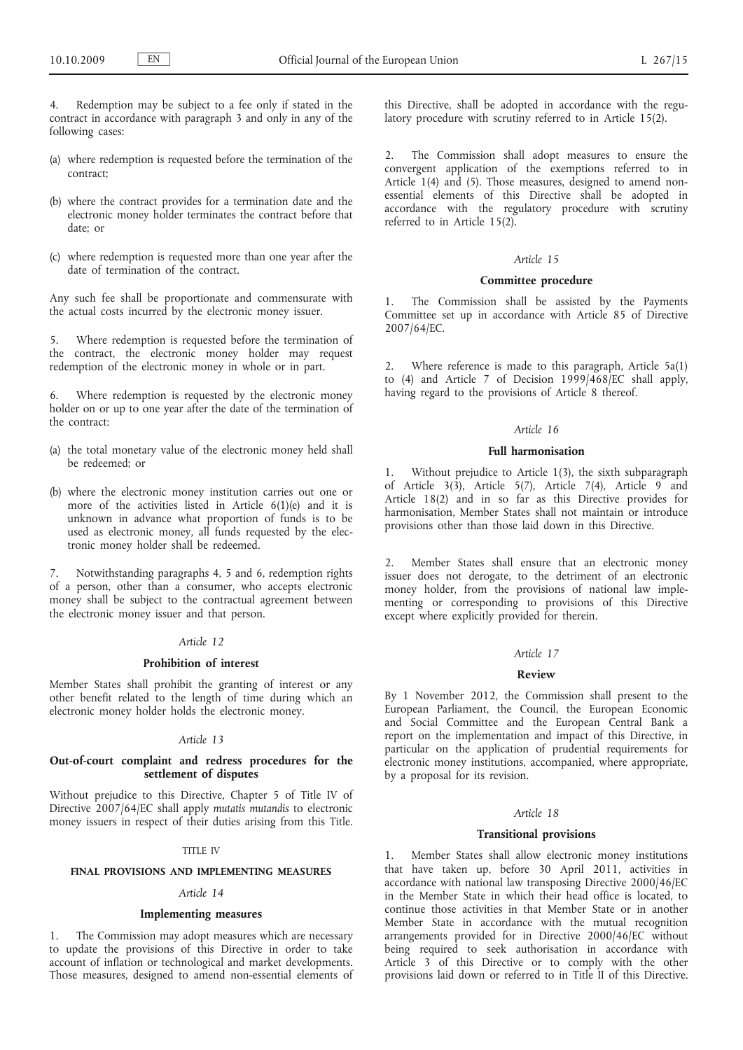Redemption may be subject to a fee only if stated in the contract in accordance with paragraph 3 and only in any of the following cases:

- (a) where redemption is requested before the termination of the contract;
- (b) where the contract provides for a termination date and the electronic money holder terminates the contract before that date; or
- (c) where redemption is requested more than one year after the date of termination of the contract.

Any such fee shall be proportionate and commensurate with the actual costs incurred by the electronic money issuer.

5. Where redemption is requested before the termination of the contract, the electronic money holder may request redemption of the electronic money in whole or in part.

6. Where redemption is requested by the electronic money holder on or up to one year after the date of the termination of the contract:

- (a) the total monetary value of the electronic money held shall be redeemed; or
- (b) where the electronic money institution carries out one or more of the activities listed in Article 6(1)(e) and it is unknown in advance what proportion of funds is to be used as electronic money, all funds requested by the electronic money holder shall be redeemed.

7. Notwithstanding paragraphs 4, 5 and 6, redemption rights of a person, other than a consumer, who accepts electronic money shall be subject to the contractual agreement between the electronic money issuer and that person.

# *Article 12*

### **Prohibition of interest**

Member States shall prohibit the granting of interest or any other benefit related to the length of time during which an electronic money holder holds the electronic money.

#### *Article 13*

# **Out-of-court complaint and redress procedures for the settlement of disputes**

Without prejudice to this Directive, Chapter 5 of Title IV of Directive 2007/64/EC shall apply *mutatis mutandis* to electronic money issuers in respect of their duties arising from this Title.

## TITLE IV

### **FINAL PROVISIONS AND IMPLEMENTING MEASURES**

# *Article 14*

### **Implementing measures**

1. The Commission may adopt measures which are necessary to update the provisions of this Directive in order to take account of inflation or technological and market developments. Those measures, designed to amend non-essential elements of this Directive, shall be adopted in accordance with the regulatory procedure with scrutiny referred to in Article 15(2).

2. The Commission shall adopt measures to ensure the convergent application of the exemptions referred to in Article 1(4) and (5). Those measures, designed to amend nonessential elements of this Directive shall be adopted in accordance with the regulatory procedure with scrutiny referred to in Article 15(2).

# *Article 15*

# **Committee procedure**

1. The Commission shall be assisted by the Payments Committee set up in accordance with Article 85 of Directive 2007/64/EC.

2. Where reference is made to this paragraph, Article 5a(1) to (4) and Article 7 of Decision 1999/468/EC shall apply, having regard to the provisions of Article 8 thereof.

### *Article 16*

#### **Full harmonisation**

1. Without prejudice to Article 1(3), the sixth subparagraph of Article 3(3), Article 5(7), Article 7(4), Article 9 and Article 18(2) and in so far as this Directive provides for harmonisation, Member States shall not maintain or introduce provisions other than those laid down in this Directive.

2. Member States shall ensure that an electronic money issuer does not derogate, to the detriment of an electronic money holder, from the provisions of national law implementing or corresponding to provisions of this Directive except where explicitly provided for therein.

### *Article 17*

### **Review**

By 1 November 2012, the Commission shall present to the European Parliament, the Council, the European Economic and Social Committee and the European Central Bank a report on the implementation and impact of this Directive, in particular on the application of prudential requirements for electronic money institutions, accompanied, where appropriate, by a proposal for its revision.

# *Article 18*

#### **Transitional provisions**

1. Member States shall allow electronic money institutions that have taken up, before 30 April 2011, activities in accordance with national law transposing Directive 2000/46/EC in the Member State in which their head office is located, to continue those activities in that Member State or in another Member State in accordance with the mutual recognition arrangements provided for in Directive 2000/46/EC without being required to seek authorisation in accordance with Article 3 of this Directive or to comply with the other provisions laid down or referred to in Title II of this Directive.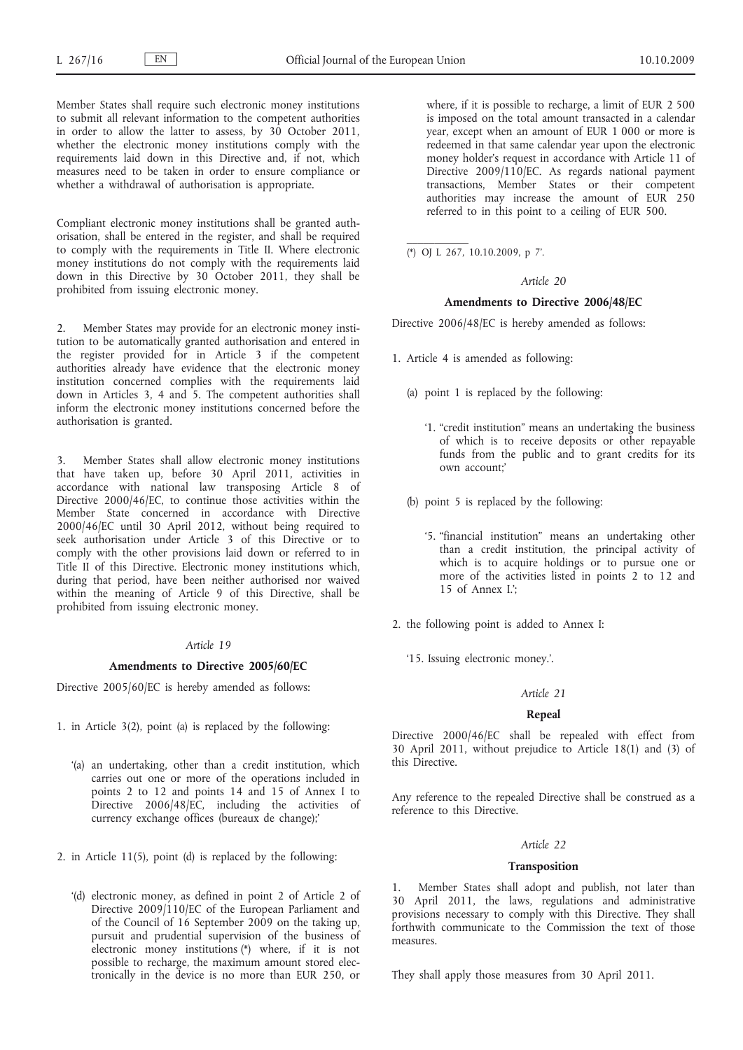Member States shall require such electronic money institutions to submit all relevant information to the competent authorities in order to allow the latter to assess, by 30 October 2011, whether the electronic money institutions comply with the requirements laid down in this Directive and, if not, which measures need to be taken in order to ensure compliance or whether a withdrawal of authorisation is appropriate.

Compliant electronic money institutions shall be granted authorisation, shall be entered in the register, and shall be required to comply with the requirements in Title II. Where electronic money institutions do not comply with the requirements laid down in this Directive by 30 October 2011, they shall be prohibited from issuing electronic money.

2. Member States may provide for an electronic money institution to be automatically granted authorisation and entered in the register provided for in Article 3 if the competent authorities already have evidence that the electronic money institution concerned complies with the requirements laid down in Articles 3, 4 and 5. The competent authorities shall inform the electronic money institutions concerned before the authorisation is granted.

3. Member States shall allow electronic money institutions that have taken up, before 30 April 2011, activities in accordance with national law transposing Article 8 of Directive 2000/46/EC, to continue those activities within the Member State concerned in accordance with Directive 2000/46/EC until 30 April 2012, without being required to seek authorisation under Article 3 of this Directive or to comply with the other provisions laid down or referred to in Title II of this Directive. Electronic money institutions which, during that period, have been neither authorised nor waived within the meaning of Article 9 of this Directive, shall be prohibited from issuing electronic money.

#### *Article 19*

#### **Amendments to Directive 2005/60/EC**

Directive 2005/60/EC is hereby amended as follows:

- 1. in Article 3(2), point (a) is replaced by the following:
	- '(a) an undertaking, other than a credit institution, which carries out one or more of the operations included in points 2 to 12 and points 14 and 15 of Annex I to Directive 2006/48/EC, including the activities of currency exchange offices (bureaux de change);'
- 2. in Article 11(5), point (d) is replaced by the following:
	- '(d) electronic money, as defined in point 2 of Article 2 of Directive 2009/110/EC of the European Parliament and of the Council of 16 September 2009 on the taking up, pursuit and prudential supervision of the business of electronic money institutions (\*) where, if it is not possible to recharge, the maximum amount stored electronically in the device is no more than EUR 250, or

where, if it is possible to recharge, a limit of EUR 2 500 is imposed on the total amount transacted in a calendar year, except when an amount of EUR 1 000 or more is redeemed in that same calendar year upon the electronic money holder's request in accordance with Article 11 of Directive 2009/110/EC. As regards national payment transactions, Member States or their competent authorities may increase the amount of EUR 250 referred to in this point to a ceiling of EUR 500.

(\*) OJ L 267, 10.10.2009, p 7'.

### *Article 20*

# **Amendments to Directive 2006/48/EC**

Directive 2006/48/EC is hereby amended as follows:

- 1. Article 4 is amended as following:
	- (a) point 1 is replaced by the following:
		- '1. "credit institution" means an undertaking the business of which is to receive deposits or other repayable funds from the public and to grant credits for its own account;'
	- (b) point 5 is replaced by the following:
		- '5. "financial institution" means an undertaking other than a credit institution, the principal activity of which is to acquire holdings or to pursue one or more of the activities listed in points 2 to 12 and 15 of Annex I.';
- 2. the following point is added to Annex I:
	- '15. Issuing electronic money.'.

#### *Article 21*

#### **Repeal**

Directive 2000/46/EC shall be repealed with effect from 30 April 2011, without prejudice to Article 18(1) and (3) of this Directive.

Any reference to the repealed Directive shall be construed as a reference to this Directive.

### *Article 22*

### **Transposition**

Member States shall adopt and publish, not later than 30 April 2011, the laws, regulations and administrative provisions necessary to comply with this Directive. They shall forthwith communicate to the Commission the text of those measures.

They shall apply those measures from 30 April 2011.